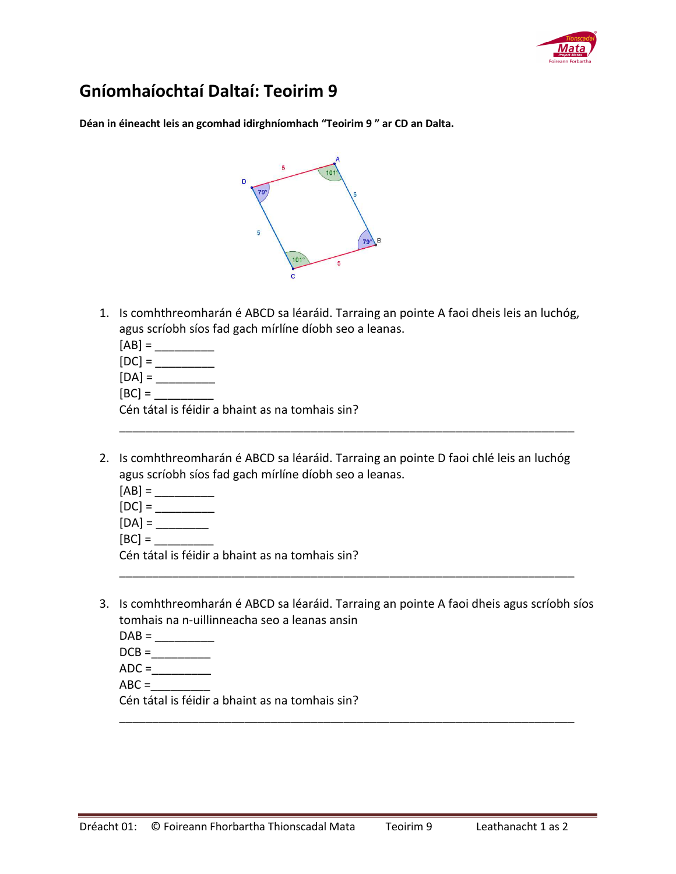

## **Gníomhaíochtaí Daltaí: Teoirim 9**

**Déan in éineacht leis an gcomhad idirghníomhach "Teoirim 9 " ar CD an Dalta.** 



- 1. Is comhthreomharán é ABCD sa léaráid. Tarraing an pointe A faoi dheis leis an luchóg, agus scríobh síos fad gach mírlíne díobh seo a leanas.
	- $[AB] =$
	- [DC] = \_\_\_\_\_\_\_\_\_
	- [DA] = \_\_\_\_\_\_\_\_\_
	- $[BC] =$

Cén tátal is féidir a bhaint as na tomhais sin?

2. Is comhthreomharán é ABCD sa léaráid. Tarraing an pointe D faoi chlé leis an luchóg agus scríobh síos fad gach mírlíne díobh seo a leanas.

\_\_\_\_\_\_\_\_\_\_\_\_\_\_\_\_\_\_\_\_\_\_\_\_\_\_\_\_\_\_\_\_\_\_\_\_\_\_\_\_\_\_\_\_\_\_\_\_\_\_\_\_\_\_\_\_\_\_\_\_\_\_\_\_\_\_\_\_\_

- $[AB] =$
- $[DC] =$
- [DA] = \_\_\_\_\_\_\_\_
- $[BC] =$

Cén tátal is féidir a bhaint as na tomhais sin?

3. Is comhthreomharán é ABCD sa léaráid. Tarraing an pointe A faoi dheis agus scríobh síos tomhais na n-uillinneacha seo a leanas ansin

\_\_\_\_\_\_\_\_\_\_\_\_\_\_\_\_\_\_\_\_\_\_\_\_\_\_\_\_\_\_\_\_\_\_\_\_\_\_\_\_\_\_\_\_\_\_\_\_\_\_\_\_\_\_\_\_\_\_\_\_\_\_\_\_\_\_\_\_\_

\_\_\_\_\_\_\_\_\_\_\_\_\_\_\_\_\_\_\_\_\_\_\_\_\_\_\_\_\_\_\_\_\_\_\_\_\_\_\_\_\_\_\_\_\_\_\_\_\_\_\_\_\_\_\_\_\_\_\_\_\_\_\_\_\_\_\_\_\_

- $DAB = \_$
- $DCB = \begin{array}{c} \n\hline\n\end{array}$
- $ADC =$
- $ABC =$

Cén tátal is féidir a bhaint as na tomhais sin?